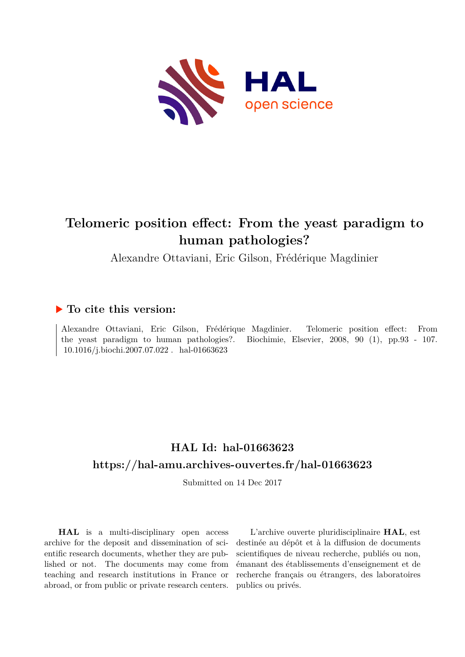

# **Telomeric position effect: From the yeast paradigm to human pathologies?**

Alexandre Ottaviani, Eric Gilson, Frédérique Magdinier

# **To cite this version:**

Alexandre Ottaviani, Eric Gilson, Frédérique Magdinier. Telomeric position effect: From the yeast paradigm to human pathologies?. Biochimie, Elsevier, 2008, 90 (1), pp.93 - 107. 10.1016/j.biochi.2007.07.022. hal-01663623

# **HAL Id: hal-01663623 <https://hal-amu.archives-ouvertes.fr/hal-01663623>**

Submitted on 14 Dec 2017

**HAL** is a multi-disciplinary open access archive for the deposit and dissemination of scientific research documents, whether they are published or not. The documents may come from teaching and research institutions in France or abroad, or from public or private research centers.

L'archive ouverte pluridisciplinaire **HAL**, est destinée au dépôt et à la diffusion de documents scientifiques de niveau recherche, publiés ou non, émanant des établissements d'enseignement et de recherche français ou étrangers, des laboratoires publics ou privés.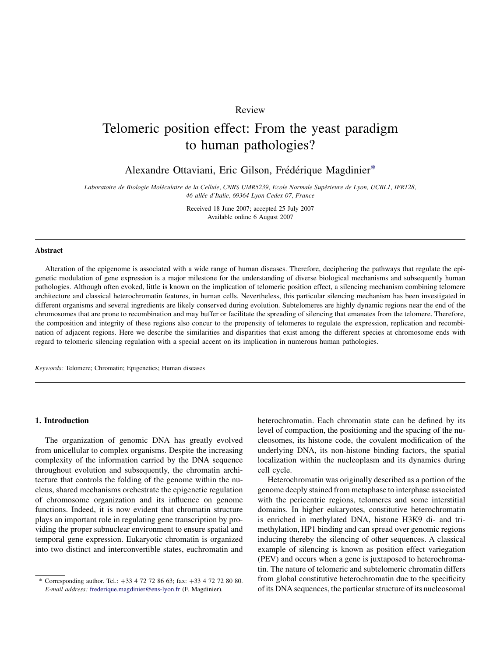# Review

# Telomeric position effect: From the yeast paradigm to human pathologies?

Alexandre Ottaviani, Eric Gilson, Frédérique Magdinier\*

Laboratoire de Biologie Moléculaire de la Cellule, CNRS UMR5239, Ecole Normale Supérieure de Lyon, UCBL1, IFR128, 46 allée d'Italie, 69364 Lyon Cedex 07, France

> Received 18 June 2007; accepted 25 July 2007 Available online 6 August 2007

#### Abstract

Alteration of the epigenome is associated with a wide range of human diseases. Therefore, deciphering the pathways that regulate the epigenetic modulation of gene expression is a major milestone for the understanding of diverse biological mechanisms and subsequently human pathologies. Although often evoked, little is known on the implication of telomeric position effect, a silencing mechanism combining telomere architecture and classical heterochromatin features, in human cells. Nevertheless, this particular silencing mechanism has been investigated in different organisms and several ingredients are likely conserved during evolution. Subtelomeres are highly dynamic regions near the end of the chromosomes that are prone to recombination and may buffer or facilitate the spreading of silencing that emanates from the telomere. Therefore, the composition and integrity of these regions also concur to the propensity of telomeres to regulate the expression, replication and recombination of adjacent regions. Here we describe the similarities and disparities that exist among the different species at chromosome ends with regard to telomeric silencing regulation with a special accent on its implication in numerous human pathologies.

Keywords: Telomere; Chromatin; Epigenetics; Human diseases

#### 1. Introduction

The organization of genomic DNA has greatly evolved from unicellular to complex organisms. Despite the increasing complexity of the information carried by the DNA sequence throughout evolution and subsequently, the chromatin architecture that controls the folding of the genome within the nucleus, shared mechanisms orchestrate the epigenetic regulation of chromosome organization and its influence on genome functions. Indeed, it is now evident that chromatin structure plays an important role in regulating gene transcription by providing the proper subnuclear environment to ensure spatial and temporal gene expression. Eukaryotic chromatin is organized into two distinct and interconvertible states, euchromatin and heterochromatin. Each chromatin state can be defined by its level of compaction, the positioning and the spacing of the nucleosomes, its histone code, the covalent modification of the underlying DNA, its non-histone binding factors, the spatial localization within the nucleoplasm and its dynamics during cell cycle.

Heterochromatin was originally described as a portion of the genome deeply stained from metaphase to interphase associated with the pericentric regions, telomeres and some interstitial domains. In higher eukaryotes, constitutive heterochromatin is enriched in methylated DNA, histone H3K9 di- and trimethylation, HP1 binding and can spread over genomic regions inducing thereby the silencing of other sequences. A classical example of silencing is known as position effect variegation (PEV) and occurs when a gene is juxtaposed to heterochromatin. The nature of telomeric and subtelomeric chromatin differs from global constitutive heterochromatin due to the specificity of its DNA sequences, the particular structure of its nucleosomal

<sup>\*</sup> Corresponding author. Tel.:  $+33$  4 72 72 86 63; fax:  $+33$  4 72 72 80 80. E-mail address: [frederique.magdinier@ens-lyon.fr](mailto:frederique.magdinier@ens-lyon.fr) (F. Magdinier).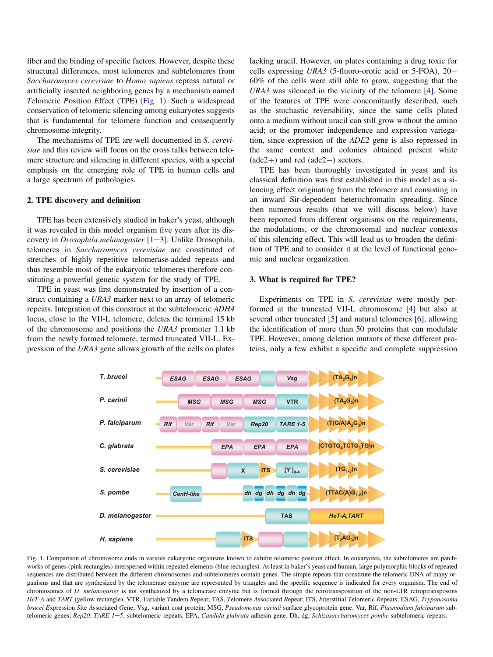fiber and the binding of specific factors. However, despite these structural differences, most telomeres and subtelomeres from Saccharomyces cerevisiae to Homo sapiens repress natural or artificially inserted neighboring genes by a mechanism named Telomeric Position Effect (TPE) (Fig. 1). Such a widespread conservation of telomeric silencing among eukaryotes suggests that is fundamental for telomere function and consequently chromosome integrity.

The mechanisms of TPE are well documented in S. cerevisiae and this review will focus on the cross talks between telomere structure and silencing in different species, with a special emphasis on the emerging role of TPE in human cells and a large spectrum of pathologies.

### 2. TPE discovery and definition

TPE has been extensively studied in baker's yeast, although it was revealed in this model organism five years after its discovery in *Drosophila melanogaster*  $[1-3]$ . Unlike Drosophila, telomeres in Saccharomyces cerevisiae are constituted of stretches of highly repetitive telomerase-added repeats and thus resemble most of the eukaryotic telomeres therefore constituting a powerful genetic system for the study of TPE.

TPE in yeast was first demonstrated by insertion of a construct containing a URA3 marker next to an array of telomeric repeats. Integration of this construct at the subtelomeric ADH4 locus, close to the VII-L telomere, deletes the terminal 15 kb of the chromosome and positions the URA3 promoter 1.1 kb from the newly formed telomere, termed truncated VII-L. Expression of the URA3 gene allows growth of the cells on plates

lacking uracil. However, on plates containing a drug toxic for cells expressing URA3 (5-fluoro-orotic acid or 5-FOA),  $20-$ 60% of the cells were still able to grow, suggesting that the URA3 was silenced in the vicinity of the telomere [4]. Some of the features of TPE were concomitantly described, such as the stochastic reversibility, since the same cells plated onto a medium without uracil can still grow without the amino acid; or the promoter independence and expression variegation, since expression of the ADE2 gene is also repressed in the same context and colonies obtained present white  $(ade2+)$  and red  $(ade2-)$  sectors.

TPE has been thoroughly investigated in yeast and its classical definition was first established in this model as a silencing effect originating from the telomere and consisting in an inward Sir-dependent heterochromatin spreading. Since then numerous results (that we will discuss below) have been reported from different organisms on the requirements, the modulations, or the chromosomal and nuclear contexts of this silencing effect. This will lead us to broaden the definition of TPE and to consider it at the level of functional genomic and nuclear organization.

#### 3. What is required for TPE?

Experiments on TPE in S. cerevisiae were mostly performed at the truncated VII-L chromosome [4] but also at several other truncated [5] and natural telomeres [6], allowing the identification of more than 50 proteins that can modulate TPE. However, among deletion mutants of these different proteins, only a few exhibit a specific and complete suppression



Fig. 1. Comparison of chromosome ends in various eukaryotic organisms known to exhibit telomeric position effect. In eukaryotes, the subtelomeres are patchworks of genes (pink rectangles) interspersed within repeated elements (blue rectangles). At least in baker's yeast and human, large polymorphic blocks of repeated sequences are distributed between the different chromosomes and subtelomeres contain genes. The simple repeats that constitute the telomeric DNA of many organisms and that are synthesized by the telomerase enzyme are represented by triangles and the specific sequence is indicated for every organism. The end of chromosomes of D. melanogaster is not synthesized by a telomerase enzyme but is formed through the retrotransposition of the non-LTR retroptransposons HeT-A and TART (yellow rectangle). VTR, Variable Tandem Repeat; TAS, Telomere Associated Repeat; ITS, Interstitial Telomeric Repeats; ESAG, Trypanosoma brucei Expression Site Associated Gene; Vsg, variant coat protein; MSG, Pseudomonas carinii surface glycoprotein gene. Var, Rif, Plasmodium falciparum subtelomeric genes; Rep20, TARE 1-5, subtelomeric repeats. EPA, Candida glabrata adhesin gene. Dh, dg, Schizosaccharomyces pombe subtelomeric repeats.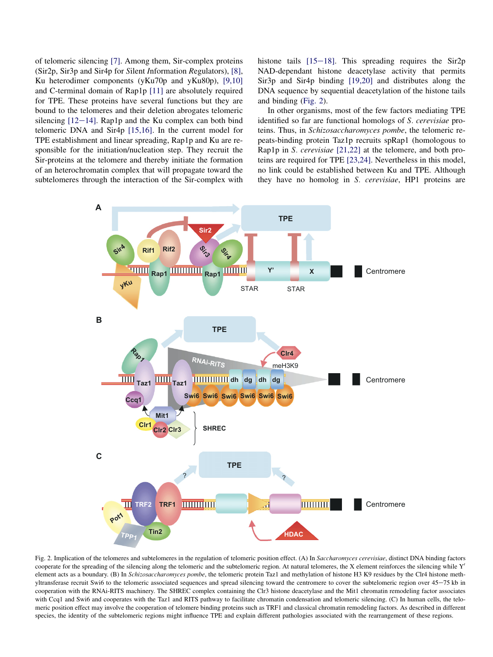of telomeric silencing [7]. Among them, Sir-complex proteins (Sir2p, Sir3p and Sir4p for Silent Information Regulators), [8], Ku heterodimer components (yKu70p and yKu80p), [9,10] and C-terminal domain of Rap1p [11] are absolutely required for TPE. These proteins have several functions but they are bound to the telomeres and their deletion abrogates telomeric silencing  $[12-14]$ . Rap1p and the Ku complex can both bind telomeric DNA and Sir4p [15,16]. In the current model for TPE establishment and linear spreading, Rap1p and Ku are responsible for the initiation/nucleation step. They recruit the Sir-proteins at the telomere and thereby initiate the formation of an heterochromatin complex that will propagate toward the subtelomeres through the interaction of the Sir-complex with histone tails  $[15-18]$ . This spreading requires the Sir2p NAD-dependant histone deacetylase activity that permits Sir3p and Sir4p binding [19,20] and distributes along the DNA sequence by sequential deacetylation of the histone tails and binding (Fig. 2).

In other organisms, most of the few factors mediating TPE identified so far are functional homologs of S. cerevisiae proteins. Thus, in Schizosaccharomyces pombe, the telomeric repeats-binding protein Taz1p recruits spRap1 (homologous to Rap1p in S. cerevisiae [21,22] at the telomere, and both proteins are required for TPE [23,24]. Nevertheless in this model, no link could be established between Ku and TPE. Although they have no homolog in S. cerevisiae, HP1 proteins are



Fig. 2. Implication of the telomeres and subtelomeres in the regulation of telomeric position effect. (A) In Saccharomyces cerevisiae, distinct DNA binding factors cooperate for the spreading of the silencing along the telomeric and the subtelomeric region. At natural telomeres, the X element reinforces the silencing while  $Y'$ element acts as a boundary. (B) In Schizosaccharomyces pombe, the telomeric protein Taz1 and methylation of histone H3 K9 residues by the Clr4 histone methyltransferase recruit Swi6 to the telomeric associated sequences and spread silencing toward the centromere to cover the subtelomeric region over 45-75 kb in cooperation with the RNAi-RITS machinery. The SHREC complex containing the Clr3 histone deacetylase and the Mit1 chromatin remodeling factor associates with Ccq1 and Swi6 and cooperates with the Taz1 and RITS pathway to facilitate chromatin condensation and telomeric silencing. (C) In human cells, the telomeric position effect may involve the cooperation of telomere binding proteins such as TRF1 and classical chromatin remodeling factors. As described in different species, the identity of the subtelomeric regions might influence TPE and explain different pathologies associated with the rearrangement of these regions.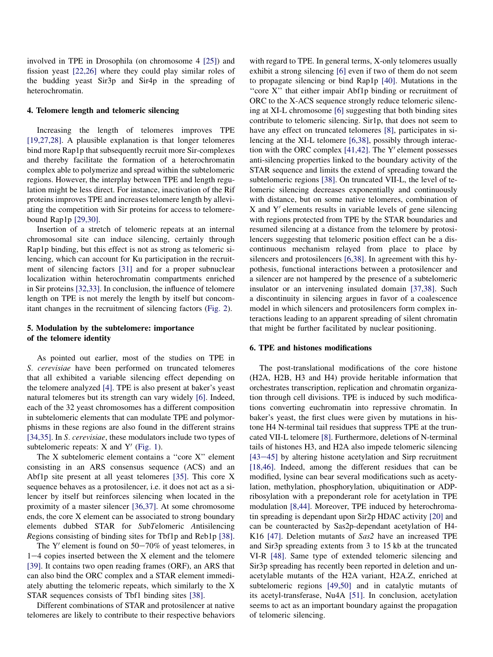involved in TPE in Drosophila (on chromosome 4 [25]) and fission yeast [22,26] where they could play similar roles of the budding yeast Sir3p and Sir4p in the spreading of heterochromatin.

#### 4. Telomere length and telomeric silencing

Increasing the length of telomeres improves TPE [19,27,28]. A plausible explanation is that longer telomeres bind more Rap1p that subsequently recruit more Sir-complexes and thereby facilitate the formation of a heterochromatin complex able to polymerize and spread within the subtelomeric regions. However, the interplay between TPE and length regulation might be less direct. For instance, inactivation of the Rif proteins improves TPE and increases telomere length by alleviating the competition with Sir proteins for access to telomerebound Rap1p [29,30].

Insertion of a stretch of telomeric repeats at an internal chromosomal site can induce silencing, certainly through Rap1p binding, but this effect is not as strong as telomeric silencing, which can account for Ku participation in the recruitment of silencing factors [31] and for a proper subnuclear localization within heterochromatin compartments enriched in Sir proteins [32,33]. In conclusion, the influence of telomere length on TPE is not merely the length by itself but concomitant changes in the recruitment of silencing factors (Fig. 2).

# 5. Modulation by the subtelomere: importance of the telomere identity

As pointed out earlier, most of the studies on TPE in S. cerevisiae have been performed on truncated telomeres that all exhibited a variable silencing effect depending on the telomere analyzed [4]. TPE is also present at baker's yeast natural telomeres but its strength can vary widely [6]. Indeed, each of the 32 yeast chromosomes has a different composition in subtelomeric elements that can modulate TPE and polymorphisms in these regions are also found in the different strains [34,35]. In S. cerevisiae, these modulators include two types of subtelomeric repeats:  $X$  and  $Y'$  (Fig. 1).

The X subtelomeric element contains a ''core X'' element consisting in an ARS consensus sequence (ACS) and an Abf1p site present at all yeast telomeres [35]. This core X sequence behaves as a protosilencer, i.e. it does not act as a silencer by itself but reinforces silencing when located in the proximity of a master silencer [36,37]. At some chromosome ends, the core X element can be associated to strong boundary elements dubbed STAR for SubTelomeric Antisilencing Regions consisting of binding sites for Tbf1p and Reb1p [38].

The Y' element is found on  $50-70\%$  of yeast telomeres, in  $1-4$  copies inserted between the X element and the telomere [39]. It contains two open reading frames (ORF), an ARS that can also bind the ORC complex and a STAR element immediately abutting the telomeric repeats, which similarly to the X STAR sequences consists of Tbf1 binding sites [38].

Different combinations of STAR and protosilencer at native telomeres are likely to contribute to their respective behaviors with regard to TPE. In general terms, X-only telomeres usually exhibit a strong silencing [6] even if two of them do not seem to propagate silencing or bind Rap1p [40]. Mutations in the "core X" that either impair Abf1p binding or recruitment of ORC to the X-ACS sequence strongly reduce telomeric silencing at XI-L chromosome [6] suggesting that both binding sites contribute to telomeric silencing. Sir1p, that does not seem to have any effect on truncated telomeres [8], participates in silencing at the XI-L telomere [6,38], possibly through interaction with the ORC complex  $[41, 42]$ . The Y' element possesses anti-silencing properties linked to the boundary activity of the STAR sequence and limits the extend of spreading toward the subtelomeric regions [38]. On truncated VII-L, the level of telomeric silencing decreases exponentially and continuously with distance, but on some native telomeres, combination of  $X$  and  $Y'$  elements results in variable levels of gene silencing with regions protected from TPE by the STAR boundaries and resumed silencing at a distance from the telomere by protosilencers suggesting that telomeric position effect can be a discontinuous mechanism relayed from place to place by silencers and protosilencers [6,38]. In agreement with this hypothesis, functional interactions between a protosilencer and a silencer are not hampered by the presence of a subtelomeric insulator or an intervening insulated domain [37,38]. Such a discontinuity in silencing argues in favor of a coalescence model in which silencers and protosilencers form complex interactions leading to an apparent spreading of silent chromatin that might be further facilitated by nuclear positioning.

### 6. TPE and histones modifications

The post-translational modifications of the core histone (H2A, H2B, H3 and H4) provide heritable information that orchestrates transcription, replication and chromatin organization through cell divisions. TPE is induced by such modifications converting euchromatin into repressive chromatin. In baker's yeast, the first clues were given by mutations in histone H4 N-terminal tail residues that suppress TPE at the truncated VII-L telomere [8]. Furthermore, deletions of N-terminal tails of histones H3, and H2A also impede telomeric silencing  $[43-45]$  by altering histone acetylation and Sirp recruitment [18,46]. Indeed, among the different residues that can be modified, lysine can bear several modifications such as acetylation, methylation, phosphorylation, ubiquitination or ADPribosylation with a preponderant role for acetylation in TPE modulation [8,44]. Moreover, TPE induced by heterochromatin spreading is dependant upon Sir2p HDAC activity [20] and can be counteracted by Sas2p-dependant acetylation of H4- K16 [47]. Deletion mutants of Sas2 have an increased TPE and Sir3p spreading extents from 3 to 15 kb at the truncated VI-R [48]. Same type of extended telomeric silencing and Sir3p spreading has recently been reported in deletion and unacetylable mutants of the H2A variant, H2A.Z, enriched at subtelomeric regions [49,50] and in catalytic mutants of its acetyl-transferase, Nu4A [51]. In conclusion, acetylation seems to act as an important boundary against the propagation of telomeric silencing.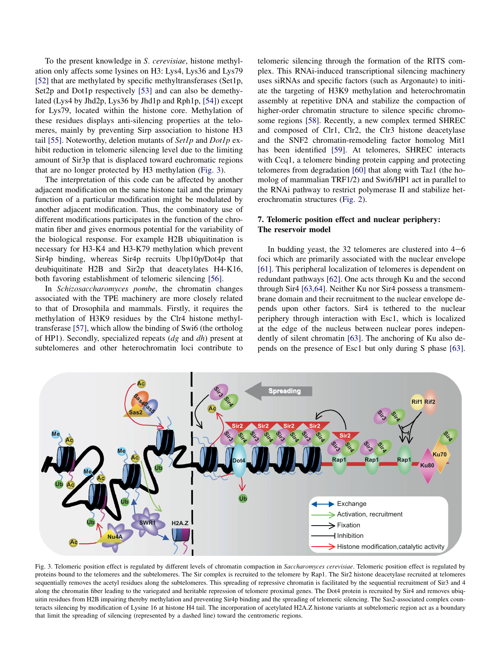To the present knowledge in S. cerevisiae, histone methylation only affects some lysines on H3: Lys4, Lys36 and Lys79 [52] that are methylated by specific methyltransferases (Set1p, Set2p and Dot1p respectively [53] and can also be demethylated (Lys4 by Jhd2p, Lys36 by Jhd1p and Rph1p, [54]) except for Lys79, located within the histone core. Methylation of these residues displays anti-silencing properties at the telomeres, mainly by preventing Sirp association to histone H3 tail [55]. Noteworthy, deletion mutants of  $Setlp$  and  $Dotlp$  exhibit reduction in telomeric silencing level due to the limiting amount of Sir3p that is displaced toward euchromatic regions that are no longer protected by H3 methylation (Fig. 3).

The interpretation of this code can be affected by another adjacent modification on the same histone tail and the primary function of a particular modification might be modulated by another adjacent modification. Thus, the combinatory use of different modifications participates in the function of the chromatin fiber and gives enormous potential for the variability of the biological response. For example H2B ubiquitination is necessary for H3-K4 and H3-K79 methylation which prevent Sir4p binding, whereas Sir4p recruits Ubp10p/Dot4p that deubiquitinate H2B and Sir2p that deacetylates H4-K16, both favoring establishment of telomeric silencing [56].

In Schizosaccharomyces pombe, the chromatin changes associated with the TPE machinery are more closely related to that of Drosophila and mammals. Firstly, it requires the methylation of H3K9 residues by the Clr4 histone methyltransferase [57], which allow the binding of Swi6 (the ortholog of HP1). Secondly, specialized repeats (dg and dh) present at subtelomeres and other heterochromatin loci contribute to telomeric silencing through the formation of the RITS complex. This RNAi-induced transcriptional silencing machinery uses siRNAs and specific factors (such as Argonaute) to initiate the targeting of H3K9 methylation and heterochromatin assembly at repetitive DNA and stabilize the compaction of higher-order chromatin structure to silence specific chromosome regions [58]. Recently, a new complex termed SHREC and composed of Clr1, Clr2, the Clr3 histone deacetylase and the SNF2 chromatin-remodeling factor homolog Mit1 has been identified [59]. At telomeres, SHREC interacts with Ccq1, a telomere binding protein capping and protecting telomeres from degradation [60] that along with Taz1 (the homolog of mammalian TRF1/2) and Swi6/HP1 act in parallel to the RNAi pathway to restrict polymerase II and stabilize heterochromatin structures (Fig. 2).

# 7. Telomeric position effect and nuclear periphery: The reservoir model

In budding yeast, the  $32$  telomeres are clustered into  $4-6$ foci which are primarily associated with the nuclear envelope [61]. This peripheral localization of telomeres is dependent on redundant pathways [62]. One acts through Ku and the second through Sir4 [63,64]. Neither Ku nor Sir4 possess a transmembrane domain and their recruitment to the nuclear envelope depends upon other factors. Sir4 is tethered to the nuclear periphery through interaction with Esc1, which is localized at the edge of the nucleus between nuclear pores independently of silent chromatin [63]. The anchoring of Ku also depends on the presence of Esc1 but only during S phase [63].



Fig. 3. Telomeric position effect is regulated by different levels of chromatin compaction in Saccharomyces cerevisiae. Telomeric position effect is regulated by proteins bound to the telomeres and the subtelomeres. The Sir complex is recruited to the telomere by Rap1. The Sir2 histone deacetylase recruited at telomeres sequentially removes the acetyl residues along the subtelomeres. This spreading of repressive chromatin is facilitated by the sequential recruitment of Sir3 and 4 along the chromatin fiber leading to the variegated and heritable repression of telomere proximal genes. The Dot4 protein is recruited by Sir4 and removes ubiquitin residues from H2B impairing thereby methylation and preventing Sir4p binding and the spreading of telomeric silencing. The Sas2-associated complex counteracts silencing by modification of Lysine 16 at histone H4 tail. The incorporation of acetylated H2A.Z histone variants at subtelomeric region act as a boundary that limit the spreading of silencing (represented by a dashed line) toward the centromeric regions.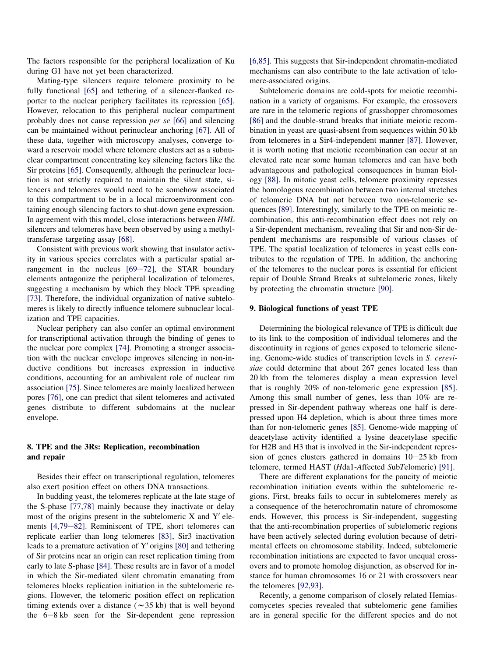The factors responsible for the peripheral localization of Ku during G1 have not yet been characterized.

Mating-type silencers require telomere proximity to be fully functional [65] and tethering of a silencer-flanked reporter to the nuclear periphery facilitates its repression [65]. However, relocation to this peripheral nuclear compartment probably does not cause repression per se [66] and silencing can be maintained without perinuclear anchoring [67]. All of these data, together with microscopy analyses, converge toward a reservoir model where telomere clusters act as a subnuclear compartment concentrating key silencing factors like the Sir proteins [65]. Consequently, although the perinuclear location is not strictly required to maintain the silent state, silencers and telomeres would need to be somehow associated to this compartment to be in a local microenvironment containing enough silencing factors to shut-down gene expression. In agreement with this model, close interactions between HML silencers and telomeres have been observed by using a methyltransferase targeting assay [68].

Consistent with previous work showing that insulator activity in various species correlates with a particular spatial arrangement in the nucleus  $[69-72]$ , the STAR boundary elements antagonize the peripheral localization of telomeres, suggesting a mechanism by which they block TPE spreading [73]. Therefore, the individual organization of native subtelomeres is likely to directly influence telomere subnuclear localization and TPE capacities.

Nuclear periphery can also confer an optimal environment for transcriptional activation through the binding of genes to the nuclear pore complex [74]. Promoting a stronger association with the nuclear envelope improves silencing in non-inductive conditions but increases expression in inductive conditions, accounting for an ambivalent role of nuclear rim association [75]. Since telomeres are mainly localized between pores [76], one can predict that silent telomeres and activated genes distribute to different subdomains at the nuclear envelope.

# 8. TPE and the 3Rs: Replication, recombination and repair

Besides their effect on transcriptional regulation, telomeres also exert position effect on others DNA transactions.

In budding yeast, the telomeres replicate at the late stage of the S-phase [77,78] mainly because they inactivate or delay most of the origins present in the subtelomeric  $X$  and  $Y'$  elements  $[4,79-82]$ . Reminiscent of TPE, short telomeres can replicate earlier than long telomeres [83], Sir3 inactivation leads to a premature activation of  $Y'$  origins [80] and tethering of Sir proteins near an origin can reset replication timing from early to late S-phase [84]. These results are in favor of a model in which the Sir-mediated silent chromatin emanating from telomeres blocks replication initiation in the subtelomeric regions. However, the telomeric position effect on replication timing extends over a distance ( $\sim$ 35 kb) that is well beyond the  $6-8$  kb seen for the Sir-dependent gene repression [6,85]. This suggests that Sir-independent chromatin-mediated mechanisms can also contribute to the late activation of telomere-associated origins.

Subtelomeric domains are cold-spots for meiotic recombination in a variety of organisms. For example, the crossovers are rare in the telomeric regions of grasshopper chromosomes [86] and the double-strand breaks that initiate meiotic recombination in yeast are quasi-absent from sequences within 50 kb from telomeres in a Sir4-independent manner [87]. However, it is worth noting that meiotic recombination can occur at an elevated rate near some human telomeres and can have both advantageous and pathological consequences in human biology [88]. In mitotic yeast cells, telomere proximity represses the homologous recombination between two internal stretches of telomeric DNA but not between two non-telomeric sequences [89]. Interestingly, similarly to the TPE on meiotic recombination, this anti-recombination effect does not rely on a Sir-dependent mechanism, revealing that Sir and non-Sir dependent mechanisms are responsible of various classes of TPE. The spatial localization of telomeres in yeast cells contributes to the regulation of TPE. In addition, the anchoring of the telomeres to the nuclear pores is essential for efficient repair of Double Strand Breaks at subtelomeric zones, likely by protecting the chromatin structure [90].

#### 9. Biological functions of yeast TPE

Determining the biological relevance of TPE is difficult due to its link to the composition of individual telomeres and the discontinuity in regions of genes exposed to telomeric silencing. Genome-wide studies of transcription levels in S. cerevisiae could determine that about 267 genes located less than 20 kb from the telomeres display a mean expression level that is roughly 20% of non-telomeric gene expression [85]. Among this small number of genes, less than 10% are repressed in Sir-dependent pathway whereas one half is derepressed upon H4 depletion, which is about three times more than for non-telomeric genes [85]. Genome-wide mapping of deacetylase activity identified a lysine deacetylase specific for H2B and H3 that is involved in the Sir-independent repression of genes clusters gathered in domains  $10-25$  kb from telomere, termed HAST (Hda1-Affected SubTelomeric) [91].

There are different explanations for the paucity of meiotic recombination initiation events within the subtelomeric regions. First, breaks fails to occur in subtelomeres merely as a consequence of the heterochromatin nature of chromosome ends. However, this process is Sir-independent, suggesting that the anti-recombination properties of subtelomeric regions have been actively selected during evolution because of detrimental effects on chromosome stability. Indeed, subtelomeric recombination initiations are expected to favor unequal crossovers and to promote homolog disjunction, as observed for instance for human chromosomes 16 or 21 with crossovers near the telomeres [92,93].

Recently, a genome comparison of closely related Hemiascomycetes species revealed that subtelomeric gene families are in general specific for the different species and do not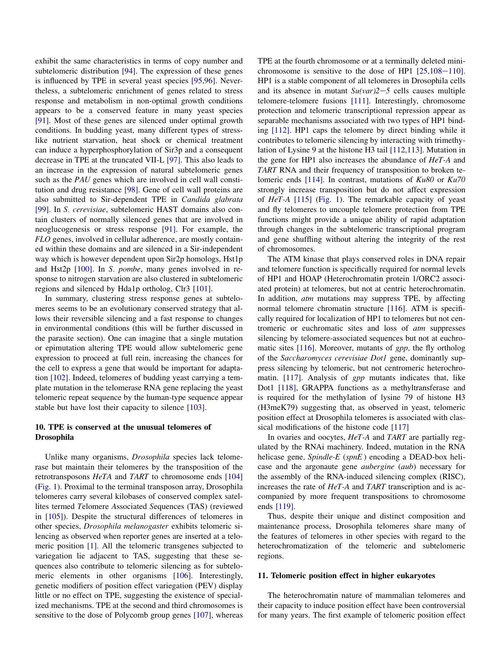exhibit the same characteristics in terms of copy number and subtelomeric distribution [94]. The expression of these genes is influenced by TPE in several yeast species [95,96]. Nevertheless, a subtelomeric enrichment of genes related to stress response and metabolism in non-optimal growth conditions appears to be a conserved feature in many yeast species [91]. Most of these genes are silenced under optimal growth conditions. In budding yeast, many different types of stresslike nutrient starvation, heat shock or chemical treatment can induce a hyperphosphorylation of Sir3p and a consequent decrease in TPE at the truncated VII-L [97]. This also leads to an increase in the expression of natural subtelomeric genes such as the PAU genes which are involved in cell wall constitution and drug resistance [98]. Gene of cell wall proteins are also submitted to Sir-dependent TPE in Candida glabrata [99]. In S. cerevisiae, subtelomeric HAST domains also contain clusters of normally silenced genes that are involved in neoglucogenesis or stress response [91]. For example, the FLO genes, involved in cellular adherence, are mostly contained within these domains and are silenced in a Sir-independent way which is however dependent upon Sir2p homologs, Hst1p and Hst2p [100]. In S. pombe, many genes involved in response to nitrogen starvation are also clustered in subtelomeric regions and silenced by Hda1p ortholog, Clr3 [101].

In summary, clustering stress response genes at subtelomeres seems to be an evolutionary conserved strategy that allows their reversible silencing and a fast response to changes in environmental conditions (this will be further discussed in the parasite section). One can imagine that a single mutation or epimutation altering TPE would allow subtelomeric gene expression to proceed at full rein, increasing the chances for the cell to express a gene that would be important for adaptation [102]. Indeed, telomeres of budding yeast carrying a template mutation in the telomerase RNA gene replacing the yeast telomeric repeat sequence by the human-type sequence appear stable but have lost their capacity to silence [103].

# 10. TPE is conserved at the unusual telomeres of Drosophila

Unlike many organisms, Drosophila species lack telomerase but maintain their telomeres by the transposition of the retrotransposons HeTA and TART to chromosome ends [104] (Fig. 1). Proximal to the terminal transposon array, Drosophila telomeres carry several kilobases of conserved complex satellites termed Telomere Associated Sequences (TAS) (reviewed in [105]). Despite the structural differences of telomeres in other species, Drosophila melanogaster exhibits telomeric silencing as observed when reporter genes are inserted at a telomeric position [1]. All the telomeric transgenes subjected to variegation lie adjacent to TAS, suggesting that these sequences also contribute to telomeric silencing as for subtelomeric elements in other organisms [106]. Interestingly, genetic modifiers of position effect variegation (PEV) display little or no effect on TPE, suggesting the existence of specialized mechanisms. TPE at the second and third chromosomes is sensitive to the dose of Polycomb group genes [107], whereas TPE at the fourth chromosome or at a terminally deleted minichromosome is sensitive to the dose of HP1  $[25,108-110]$ . HP1 is a stable component of all telomeres in Drosophila cells and its absence in mutant  $Su(var)2-5$  cells causes multiple telomere-telomere fusions [111]. Interestingly, chromosome protection and telomeric transcriptional repression appear as separable mechanisms associated with two types of HP1 binding [112]. HP1 caps the telomere by direct binding while it contributes to telomeric silencing by interacting with trimethylation of Lysine 9 at the histone H3 tail [112,113]. Mutation in the gene for HP1 also increases the abundance of  $HeT-A$  and TART RNA and their frequency of transposition to broken telomeric ends [114]. In contrast, mutations of  $Ku80$  or  $Ku70$ strongly increase transposition but do not affect expression of HeT-A [115] (Fig. 1). The remarkable capacity of yeast and fly telomeres to uncouple telomere protection from TPE functions might provide a unique ability of rapid adaptation through changes in the subtelomeric transcriptional program and gene shuffling without altering the integrity of the rest of chromosomes.

The ATM kinase that plays conserved roles in DNA repair and telomere function is specifically required for normal levels of HP1 and HOAP (Heterochromatin protein 1/ORC2 associated protein) at telomeres, but not at centric heterochromatin. In addition, *atm* mutations may suppress TPE, by affecting normal telomere chromatin structure [116]. ATM is specifically required for localization of HP1 to telomeres but not centromeric or euchromatic sites and loss of atm suppresses silencing by telomere-associated sequences but not at euchromatic sites [116]. Moreover, mutants of *gpp*, the fly ortholog of the Saccharomyces cerevisiae Dot1 gene, dominantly suppress silencing by telomeric, but not centromeric heterochromatin. [117]. Analysis of gpp mutants indicates that, like Dot1 [118], GRAPPA functions as a methyltransferase and is required for the methylation of lysine 79 of histone H3 (H3meK79) suggesting that, as observed in yeast, telomeric position effect at Drosophila telomeres is associated with classical modifications of the histone code [117]

In ovaries and oocytes, HeT-A and TART are partially regulated by the RNAi machinery. Indeed, mutation in the RNA helicase gene, Spindle-E (spnE) encoding a DEAD-box helicase and the argonaute gene aubergine (aub) necessary for the assembly of the RNA-induced silencing complex (RISC), increases the rate of HeT-A and TART transcription and is accompanied by more frequent transpositions to chromosome ends [119].

Thus, despite their unique and distinct composition and maintenance process, Drosophila telomeres share many of the features of telomeres in other species with regard to the heterochromatization of the telomeric and subtelomeric regions.

#### 11. Telomeric position effect in higher eukaryotes

The heterochromatin nature of mammalian telomeres and their capacity to induce position effect have been controversial for many years. The first example of telomeric position effect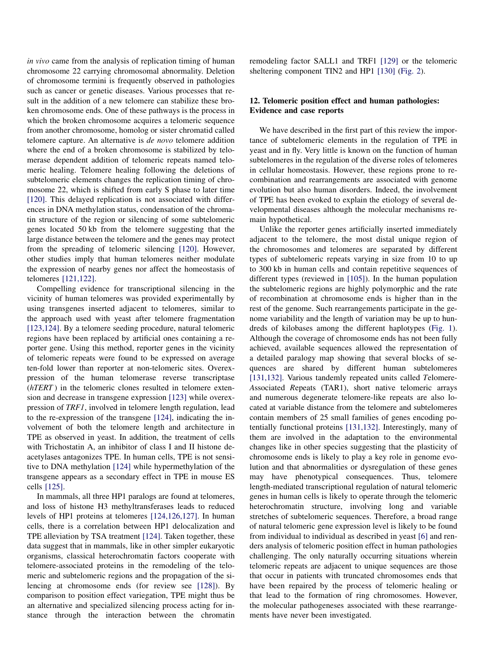in vivo came from the analysis of replication timing of human chromosome 22 carrying chromosomal abnormality. Deletion of chromosome termini is frequently observed in pathologies such as cancer or genetic diseases. Various processes that result in the addition of a new telomere can stabilize these broken chromosome ends. One of these pathways is the process in which the broken chromosome acquires a telomeric sequence from another chromosome, homolog or sister chromatid called telomere capture. An alternative is de novo telomere addition where the end of a broken chromosome is stabilized by telomerase dependent addition of telomeric repeats named telomeric healing. Telomere healing following the deletions of subtelomeric elements changes the replication timing of chromosome 22, which is shifted from early S phase to later time [120]. This delayed replication is not associated with differences in DNA methylation status, condensation of the chromatin structure of the region or silencing of some subtelomeric genes located 50 kb from the telomere suggesting that the large distance between the telomere and the genes may protect from the spreading of telomeric silencing [120]. However, other studies imply that human telomeres neither modulate the expression of nearby genes nor affect the homeostasis of telomeres [121,122].

Compelling evidence for transcriptional silencing in the vicinity of human telomeres was provided experimentally by using transgenes inserted adjacent to telomeres, similar to the approach used with yeast after telomere fragmentation [123,124]. By a telomere seeding procedure, natural telomeric regions have been replaced by artificial ones containing a reporter gene. Using this method, reporter genes in the vicinity of telomeric repeats were found to be expressed on average ten-fold lower than reporter at non-telomeric sites. Overexpression of the human telomerase reverse transcriptase  $(hTERT)$  in the telomeric clones resulted in telomere extension and decrease in transgene expression [123] while overexpression of TRF1, involved in telomere length regulation, lead to the re-expression of the transgene [124], indicating the involvement of both the telomere length and architecture in TPE as observed in yeast. In addition, the treatment of cells with Trichostatin A, an inhibitor of class I and II histone deacetylases antagonizes TPE. In human cells, TPE is not sensitive to DNA methylation [124] while hypermethylation of the transgene appears as a secondary effect in TPE in mouse ES cells [125].

In mammals, all three HP1 paralogs are found at telomeres, and loss of histone H3 methyltransferases leads to reduced levels of HP1 proteins at telomeres [124,126,127]. In human cells, there is a correlation between HP1 delocalization and TPE alleviation by TSA treatment [124]. Taken together, these data suggest that in mammals, like in other simpler eukaryotic organisms, classical heterochromatin factors cooperate with telomere-associated proteins in the remodeling of the telomeric and subtelomeric regions and the propagation of the silencing at chromosome ends (for review see [128]). By comparison to position effect variegation, TPE might thus be an alternative and specialized silencing process acting for instance through the interaction between the chromatin remodeling factor SALL1 and TRF1 [129] or the telomeric sheltering component TIN2 and HP1 [130] (Fig. 2).

# 12. Telomeric position effect and human pathologies: Evidence and case reports

We have described in the first part of this review the importance of subtelomeric elements in the regulation of TPE in yeast and in fly. Very little is known on the function of human subtelomeres in the regulation of the diverse roles of telomeres in cellular homeostasis. However, these regions prone to recombination and rearrangements are associated with genome evolution but also human disorders. Indeed, the involvement of TPE has been evoked to explain the etiology of several developmental diseases although the molecular mechanisms remain hypothetical.

Unlike the reporter genes artificially inserted immediately adjacent to the telomere, the most distal unique region of the chromosomes and telomeres are separated by different types of subtelomeric repeats varying in size from 10 to up to 300 kb in human cells and contain repetitive sequences of different types (reviewed in [105]). In the human population the subtelomeric regions are highly polymorphic and the rate of recombination at chromosome ends is higher than in the rest of the genome. Such rearrangements participate in the genome variability and the length of variation may be up to hundreds of kilobases among the different haplotypes (Fig. 1). Although the coverage of chromosome ends has not been fully achieved, available sequences allowed the representation of a detailed paralogy map showing that several blocks of sequences are shared by different human subtelomeres [131,132]. Various tandemly repeated units called Telomere-Associated Repeats (TAR1), short native telomeric arrays and numerous degenerate telomere-like repeats are also located at variable distance from the telomere and subtelomeres contain members of 25 small families of genes encoding potentially functional proteins [131,132]. Interestingly, many of them are involved in the adaptation to the environmental changes like in other species suggesting that the plasticity of chromosome ends is likely to play a key role in genome evolution and that abnormalities or dysregulation of these genes may have phenotypical consequences. Thus, telomere length-mediated transcriptional regulation of natural telomeric genes in human cells is likely to operate through the telomeric heterochromatin structure, involving long and variable stretches of subtelomeric sequences. Therefore, a broad range of natural telomeric gene expression level is likely to be found from individual to individual as described in yeast [6] and renders analysis of telomeric position effect in human pathologies challenging. The only naturally occurring situations wherein telomeric repeats are adjacent to unique sequences are those that occur in patients with truncated chromosomes ends that have been repaired by the process of telomeric healing or that lead to the formation of ring chromosomes. However, the molecular pathogeneses associated with these rearrangements have never been investigated.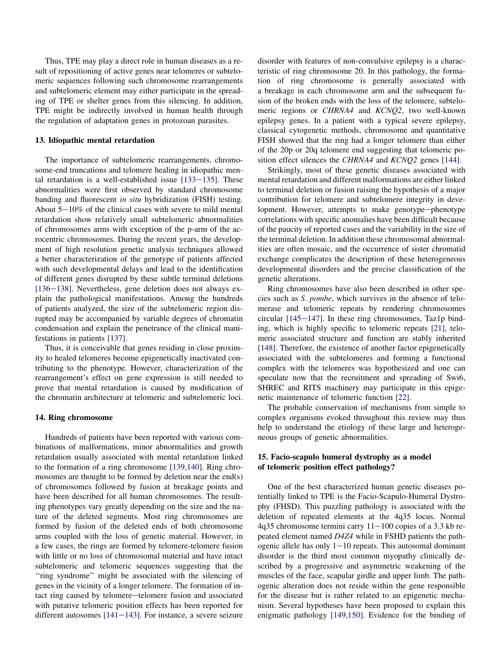Thus, TPE may play a direct role in human diseases as a result of repositioning of active genes near telomeres or subtelomeric sequences following such chromosome rearrangements and subtelomeric element may either participate in the spreading of TPE or shelter genes from this silencing. In addition, TPE might be indirectly involved in human health through the regulation of adaptation genes in protozoan parasites.

#### 13. Idiopathic mental retardation

The importance of subtelomeric rearrangements, chromosome-end truncations and telomere healing in idiopathic mental retardation is a well-established issue  $[133-135]$ . These abnormalities were first observed by standard chromosome banding and fluorescent in situ hybridization (FISH) testing. About  $5-10\%$  of the clinical cases with severe to mild mental retardation show relatively small subtelomeric abnormalities of chromosomes arms with exception of the p-arm of the acrocentric chromosomes. During the recent years, the development of high resolution genetic analysis techniques allowed a better characterization of the genotype of patients affected with such developmental delays and lead to the identification of different genes disrupted by these subtle terminal deletions [136-138]. Nevertheless, gene deletion does not always explain the pathological manifestations. Among the hundreds of patients analyzed, the size of the subtelomeric region disrupted may be accompanied by variable degrees of chromatin condensation and explain the penetrance of the clinical manifestations in patients [137].

Thus, it is conceivable that genes residing in close proximity to healed telomeres become epigenetically inactivated contributing to the phenotype. However, characterization of the rearrangement's effect on gene expression is still needed to prove that mental retardation is caused by modification of the chromatin architecture at telomeric and subtelomeric loci.

#### 14. Ring chromosome

Hundreds of patients have been reported with various combinations of malformations, minor abnormalities and growth retardation usually associated with mental retardation linked to the formation of a ring chromosome [139,140]. Ring chromosomes are thought to be formed by deletion near the end(s) of chromosomes followed by fusion at breakage points and have been described for all human chromosomes. The resulting phenotypes vary greatly depending on the size and the nature of the deleted segments. Most ring chromosomes are formed by fusion of the deleted ends of both chromosome arms coupled with the loss of genetic material. However, in a few cases, the rings are formed by telomere-telomere fusion with little or no loss of chromosomal material and have intact subtelomeric and telomeric sequences suggesting that the ''ring syndrome'' might be associated with the silencing of genes in the vicinity of a longer telomere. The formation of intact ring caused by telomere-telomere fusion and associated with putative telomeric position effects has been reported for different autosomes  $[141-143]$ . For instance, a severe seizure disorder with features of non-convulsive epilepsy is a characteristic of ring chromosome 20. In this pathology, the formation of ring chromosome is generally associated with a breakage in each chromosome arm and the subsequent fusion of the broken ends with the loss of the telomere, subtelomeric regions or CHRNA4 and KCNQ2, two well-known epilepsy genes. In a patient with a typical severe epilepsy, classical cytogenetic methods, chromosome and quantitative FISH showed that the ring had a longer telomere than either of the 20p or 20q telomere end suggesting that telomeric position effect silences the CHRNA4 and KCNQ2 genes [144].

Strikingly, most of these genetic diseases associated with mental retardation and different malformations are either linked to terminal deletion or fusion raising the hypothesis of a major contribution for telomere and subtelomere integrity in development. However, attempts to make genotype-phenotype correlations with specific anomalies have been difficult because of the paucity of reported cases and the variability in the size of the terminal deletion. In addition these chromosomal abnormalities are often mosaic, and the occurrence of sister chromatid exchange complicates the description of these heterogeneous developmental disorders and the precise classification of the genetic alterations.

Ring chromosomes have also been described in other species such as S. pombe, which survives in the absence of telomerase and telomeric repeats by rendering chromosomes circular  $[145-147]$ . In these ring chromosomes, Taz1p binding, which is highly specific to telomeric repeats [21], telomeric associated structure and function are stably inherited [148]. Therefore, the existence of another factor epigenetically associated with the subtelomeres and forming a functional complex with the telomeres was hypothesized and one can speculate now that the recruitment and spreading of Swi6, SHREC and RITS machinery may participate in this epigenetic maintenance of telomeric function [22].

The probable conservation of mechanisms from simple to complex organisms evoked throughout this review may thus help to understand the etiology of these large and heterogeneous groups of genetic abnormalities.

# 15. Facio-scapulo humeral dystrophy as a model of telomeric position effect pathology?

One of the best characterized human genetic diseases potentially linked to TPE is the Facio-Scapulo-Humeral Dystrophy (FHSD). This puzzling pathology is associated with the deletion of repeated elements at the 4q35 locus. Normal 4q35 chromosome termini carry  $11-100$  copies of a 3.3 kb repeated element named D4Z4 while in FSHD patients the pathogenic allele has only  $1-10$  repeats. This autosomal dominant disorder is the third most common myopathy clinically described by a progressive and asymmetric weakening of the muscles of the face, scapular girdle and upper limb. The pathogenic alteration does not reside within the gene responsible for the disease but is rather related to an epigenetic mechanism. Several hypotheses have been proposed to explain this enigmatic pathology [149,150]. Evidence for the binding of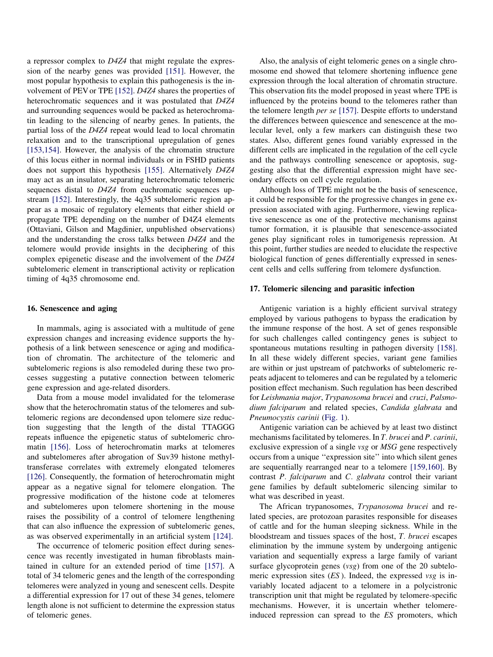a repressor complex to D4Z4 that might regulate the expression of the nearby genes was provided [151]. However, the most popular hypothesis to explain this pathogenesis is the involvement of PEV or TPE [152]. D4Z4 shares the properties of heterochromatic sequences and it was postulated that D4Z4 and surrounding sequences would be packed as heterochromatin leading to the silencing of nearby genes. In patients, the partial loss of the D4Z4 repeat would lead to local chromatin relaxation and to the transcriptional upregulation of genes [153,154]. However, the analysis of the chromatin structure of this locus either in normal individuals or in FSHD patients does not support this hypothesis [155]. Alternatively D4Z4 may act as an insulator, separating heterochromatic telomeric sequences distal to D4Z4 from euchromatic sequences upstream [152]. Interestingly, the 4q35 subtelomeric region appear as a mosaic of regulatory elements that either shield or propagate TPE depending on the number of D4Z4 elements (Ottaviani, Gilson and Magdinier, unpublished observations) and the understanding the cross talks between D4Z4 and the telomere would provide insights in the deciphering of this complex epigenetic disease and the involvement of the D4Z4 subtelomeric element in transcriptional activity or replication timing of 4q35 chromosome end.

### 16. Senescence and aging

In mammals, aging is associated with a multitude of gene expression changes and increasing evidence supports the hypothesis of a link between senescence or aging and modification of chromatin. The architecture of the telomeric and subtelomeric regions is also remodeled during these two processes suggesting a putative connection between telomeric gene expression and age-related disorders.

Data from a mouse model invalidated for the telomerase show that the heterochromatin status of the telomeres and subtelomeric regions are decondensed upon telomere size reduction suggesting that the length of the distal TTAGGG repeats influence the epigenetic status of subtelomeric chromatin [156]. Loss of heterochromatin marks at telomeres and subtelomeres after abrogation of Suv39 histone methyltransferase correlates with extremely elongated telomeres [126]. Consequently, the formation of heterochromatin might appear as a negative signal for telomere elongation. The progressive modification of the histone code at telomeres and subtelomeres upon telomere shortening in the mouse raises the possibility of a control of telomere lengthening that can also influence the expression of subtelomeric genes, as was observed experimentally in an artificial system [124].

The occurrence of telomeric position effect during senescence was recently investigated in human fibroblasts maintained in culture for an extended period of time [157]. A total of 34 telomeric genes and the length of the corresponding telomeres were analyzed in young and senescent cells. Despite a differential expression for 17 out of these 34 genes, telomere length alone is not sufficient to determine the expression status of telomeric genes.

Also, the analysis of eight telomeric genes on a single chromosome end showed that telomere shortening influence gene expression through the local alteration of chromatin structure. This observation fits the model proposed in yeast where TPE is influenced by the proteins bound to the telomeres rather than the telomere length per se [157]. Despite efforts to understand the differences between quiescence and senescence at the molecular level, only a few markers can distinguish these two states. Also, different genes found variably expressed in the different cells are implicated in the regulation of the cell cycle and the pathways controlling senescence or apoptosis, suggesting also that the differential expression might have secondary effects on cell cycle regulation.

Although loss of TPE might not be the basis of senescence, it could be responsible for the progressive changes in gene expression associated with aging. Furthermore, viewing replicative senescence as one of the protective mechanisms against tumor formation, it is plausible that senescence-associated genes play significant roles in tumorigenesis repression. At this point, further studies are needed to elucidate the respective biological function of genes differentially expressed in senescent cells and cells suffering from telomere dysfunction.

#### 17. Telomeric silencing and parasitic infection

Antigenic variation is a highly efficient survival strategy employed by various pathogens to bypass the eradication by the immune response of the host. A set of genes responsible for such challenges called contingency genes is subject to spontaneous mutations resulting in pathogen diversity [158]. In all these widely different species, variant gene families are within or just upstream of patchworks of subtelomeric repeats adjacent to telomeres and can be regulated by a telomeric position effect mechanism. Such regulation has been described for Leishmania major, Trypanosoma brucei and cruzi, Palsmodium falciparum and related species, Candida glabrata and Pneumocystis carinii (Fig. 1).

Antigenic variation can be achieved by at least two distinct mechanisms facilitated by telomeres. In T. brucei and P. carinii, exclusive expression of a single vsg or MSG gene respectively occurs from a unique ''expression site'' into which silent genes are sequentially rearranged near to a telomere [159,160]. By contrast P. falciparum and C. glabrata control their variant gene families by default subtelomeric silencing similar to what was described in yeast.

The African trypanosomes, Trypanosoma brucei and related species, are protozoan parasites responsible for diseases of cattle and for the human sleeping sickness. While in the bloodstream and tissues spaces of the host, T. brucei escapes elimination by the immune system by undergoing antigenic variation and sequentially express a large family of variant surface glycoprotein genes (vsg) from one of the 20 subtelomeric expression sites  $(ES)$ . Indeed, the expressed vsg is invariably located adjacent to a telomere in a polycistronic transcription unit that might be regulated by telomere-specific mechanisms. However, it is uncertain whether telomereinduced repression can spread to the ES promoters, which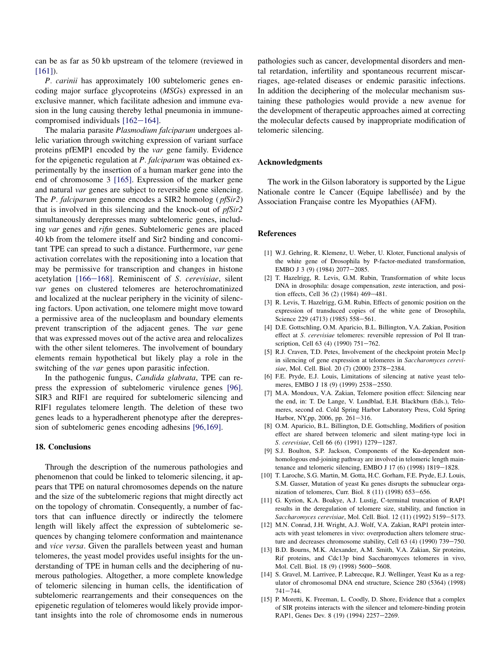can be as far as 50 kb upstream of the telomere (reviewed in  $[161]$ ).

P. carinii has approximately 100 subtelomeric genes encoding major surface glycoproteins (MSGs) expressed in an exclusive manner, which facilitate adhesion and immune evasion in the lung causing thereby lethal pneumonia in immunecompromised individuals  $[162-164]$ .

The malaria parasite Plasmodium falciparum undergoes allelic variation through switching expression of variant surface proteins pfEMP1 encoded by the var gene family. Evidence for the epigenetic regulation at P. falciparum was obtained experimentally by the insertion of a human marker gene into the end of chromosome 3 [165]. Expression of the marker gene and natural var genes are subject to reversible gene silencing. The *P. falciparum* genome encodes a SIR2 homolog (*pfSir2*) that is involved in this silencing and the knock-out of  $pfSir2$ simultaneously derepresses many subtelomeric genes, including var genes and rifin genes. Subtelomeric genes are placed 40 kb from the telomere itself and Sir2 binding and concomitant TPE can spread to such a distance. Furthermore, var gene activation correlates with the repositioning into a location that may be permissive for transcription and changes in histone acetylation  $[166-168]$ . Reminiscent of S. cerevisiae, silent var genes on clustered telomeres are heterochromatinized and localized at the nuclear periphery in the vicinity of silencing factors. Upon activation, one telomere might move toward a permissive area of the nucleoplasm and boundary elements prevent transcription of the adjacent genes. The var gene that was expressed moves out of the active area and relocalizes with the other silent telomeres. The involvement of boundary elements remain hypothetical but likely play a role in the switching of the var genes upon parasitic infection.

In the pathogenic fungus, Candida glabrata, TPE can repress the expression of subtelomeric virulence genes [96]. SIR3 and RIF1 are required for subtelomeric silencing and RIF1 regulates telomere length. The deletion of these two genes leads to a hyperadherent phenotype after the derepression of subtelomeric genes encoding adhesins [96,169].

#### 18. Conclusions

Through the description of the numerous pathologies and phenomenon that could be linked to telomeric silencing, it appears that TPE on natural chromosomes depends on the nature and the size of the subtelomeric regions that might directly act on the topology of chromatin. Consequently, a number of factors that can influence directly or indirectly the telomere length will likely affect the expression of subtelomeric sequences by changing telomere conformation and maintenance and vice versa. Given the parallels between yeast and human telomeres, the yeast model provides useful insights for the understanding of TPE in human cells and the deciphering of numerous pathologies. Altogether, a more complete knowledge of telomeric silencing in human cells, the identification of subtelomeric rearrangements and their consequences on the epigenetic regulation of telomeres would likely provide important insights into the role of chromosome ends in numerous pathologies such as cancer, developmental disorders and mental retardation, infertility and spontaneous recurrent miscarriages, age-related diseases or endemic parasitic infections. In addition the deciphering of the molecular mechanism sustaining these pathologies would provide a new avenue for the development of therapeutic approaches aimed at correcting the molecular defects caused by inappropriate modification of telomeric silencing.

#### Acknowledgments

The work in the Gilson laboratory is supported by the Ligue Nationale contre le Cancer (Equipe labellisée) and by the Association Française contre les Myopathies (AFM).

#### References

- [1] W.J. Gehring, R. Klemenz, U. Weber, U. Kloter, Functional analysis of the white gene of Drosophila by P-factor-mediated transformation, EMBO J 3 (9) (1984) 2077-2085.
- [2] T. Hazelrigg, R. Levis, G.M. Rubin, Transformation of white locus DNA in drosophila: dosage compensation, zeste interaction, and position effects, Cell 36 (2) (1984) 469-481.
- [3] R. Levis, T. Hazelrigg, G.M. Rubin, Effects of genomic position on the expression of transduced copies of the white gene of Drosophila, Science 229 (4713) (1985) 558-561.
- [4] D.E. Gottschling, O.M. Aparicio, B.L. Billington, V.A. Zakian, Position effect at S. cerevisiae telomeres: reversible repression of Pol II transcription, Cell 63 (4) (1990) 751-762.
- [5] R.J. Craven, T.D. Petes, Involvement of the checkpoint protein Mec1p in silencing of gene expression at telomeres in Saccharomyces cerevisiae, Mol. Cell. Biol. 20 (7) (2000) 2378-2384.
- [6] F.E. Pryde, E.J. Louis, Limitations of silencing at native yeast telomeres, EMBO J 18 (9) (1999) 2538-2550.
- [7] M.A. Mondoux, V.A. Zakian, Telomere position effect: Silencing near the end, in: T. De Lange, V. Lundblad, E.H. Blackburn (Eds.), Telomeres, second ed. Cold Spring Harbor Laboratory Press, Cold Spring Harbor, NY,pp, 2006, pp. 261-316.
- [8] O.M. Aparicio, B.L. Billington, D.E. Gottschling, Modifiers of position effect are shared between telomeric and silent mating-type loci in S. cerevisiae, Cell 66 (6) (1991) 1279-1287.
- [9] S.J. Boulton, S.P. Jackson, Components of the Ku-dependent nonhomologous end-joining pathway are involved in telomeric length maintenance and telomeric silencing, EMBO J  $17(6)(1998) 1819-1828$ .
- [10] T. Laroche, S.G. Martin, M. Gotta, H.C. Gorham, F.E. Pryde, E.J. Louis, S.M. Gasser, Mutation of yeast Ku genes disrupts the subnuclear organization of telomeres, Curr. Biol. 8 (11) (1998) 653-656.
- [11] G. Kyrion, K.A. Boakye, A.J. Lustig, C-terminal truncation of RAP1 results in the deregulation of telomere size, stability, and function in Saccharomyces cerevisiae, Mol. Cell. Biol. 12 (11) (1992) 5159-5173.
- [12] M.N. Conrad, J.H. Wright, A.J. Wolf, V.A. Zakian, RAP1 protein interacts with yeast telomeres in vivo: overproduction alters telomere structure and decreases chromosome stability, Cell  $63$  (4) (1990) 739 $-750$ .
- [13] B.D. Bourns, M.K. Alexander, A.M. Smith, V.A. Zakian, Sir proteins, Rif proteins, and Cdc13p bind Saccharomyces telomeres in vivo, Mol. Cell. Biol. 18 (9) (1998) 5600-5608.
- [14] S. Gravel, M. Larrivee, P. Labrecque, R.J. Wellinger, Yeast Ku as a regulator of chromosomal DNA end structure, Science 280 (5364) (1998)  $741 - 744.$
- [15] P. Moretti, K. Freeman, L. Coodly, D. Shore, Evidence that a complex of SIR proteins interacts with the silencer and telomere-binding protein RAP1, Genes Dev. 8 (19) (1994) 2257-2269.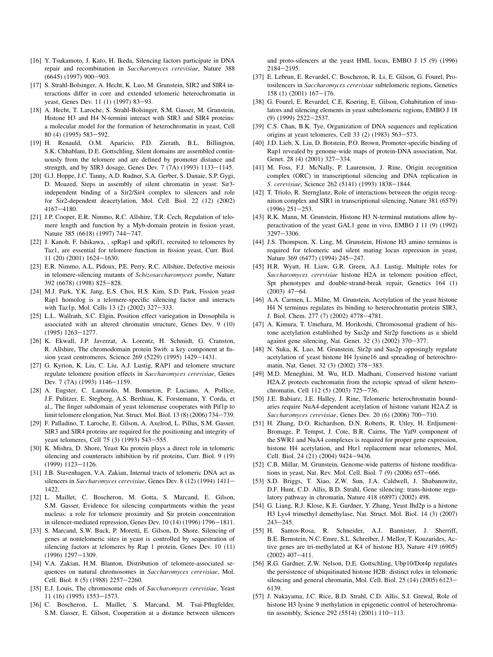- [16] Y. Tsukamoto, J. Kato, H. Ikeda, Silencing factors participate in DNA repair and recombination in Saccharomyces cerevisiae, Nature 388  $(6645)$  (1997) 900-903.
- [17] S. Strahl-Bolsinger, A. Hecht, K. Luo, M. Grunstein, SIR2 and SIR4 interactions differ in core and extended telomeric heterochromatin in yeast, Genes Dev. 11 (1) (1997) 83-93.
- [18] A. Hecht, T. Laroche, S. Strahl-Bolsinger, S.M. Gasser, M. Grunstein, Histone H3 and H4 N-termini interact with SIR3 and SIR4 proteins: a molecular model for the formation of heterochromatin in yeast, Cell 80 (4) (1995) 583-592.
- [19] H. Renauld, O.M. Aparicio, P.D. Zierath, B.L. Billington, S.K. Chhablani, D.E. Gottschling, Silent domains are assembled continuously from the telomere and are defined by promoter distance and strength, and by SIR3 dosage, Genes Dev. 7 (7A) (1993) 1133-1145.
- [20] G.J. Hoppe, J.C. Tanny, A.D. Rudner, S.A. Gerber, S. Danaie, S.P. Gygi, D. Moazed, Steps in assembly of silent chromatin in yeast: Sir3 independent binding of a Sir2/Sir4 complex to silencers and role for Sir2-dependent deacetylation, Mol. Cell. Biol. 22 (12) (2002) 4167-4180.
- [21] J.P. Cooper, E.R. Nimmo, R.C. Allshire, T.R. Cech, Regulation of telomere length and function by a Myb-domain protein in fission yeast, Nature 385 (6618) (1997) 744-747.
- [22] J. Kanoh, F. Ishikawa, , spRap1 and spRif1, recruited to telomeres by Taz1, are essential for telomere function in fission yeast, Curr. Biol.  $11 (20) (2001) 1624 - 1630.$
- [23] E.R. Nimmo, A.L. Pidoux, P.E. Perry, R.C. Allshire, Defective meiosis in telomere-silencing mutants of Schizosaccharomyces pombe, Nature 392 (6678) (1998) 825-828.
- [24] M.J. Park, Y.K. Jang, E.S. Choi, H.S. Kim, S.D. Park, Fission yeast Rap1 homolog is a telomere-specific silencing factor and interacts with Taz1p, Mol. Cells 13 (2) (2002) 327-333.
- [25] L.L. Wallrath, S.C. Elgin, Position effect variegation in Drosophila is associated with an altered chromatin structure, Genes Dev. 9 (10)  $(1995)$  1263-1277.
- [26] K. Ekwall, J.P. Javerzat, A. Lorentz, H. Schmidt, G. Cranston, R. Allshire, The chromodomain protein Swi6: a key component at fission yeast centromeres, Science 269 (5229) (1995) 1429-1431.
- [27] G. Kyrion, K. Liu, C. Liu, A.J. Lustig, RAP1 and telomere structure regulate telomere position effects in Saccharomyces cerevisiae, Genes Dev. 7 (7A) (1993) 1146-1159.
- [28] A. Eugster, C. Lanzuolo, M. Bonneton, P. Luciano, A. Pollice, J.F. Pulitzer, E. Stegberg, A.S. Berthiau, K. Forstemann, Y. Corda, et al., The finger subdomain of yeast telomerase cooperates with Pif1p to limit telomere elongation, Nat. Struct. Mol. Biol. 13 (8) (2006) 734-739.
- [29] F. Palladino, T. Laroche, E. Gilson, A. Axelrod, L. Pillus, S.M. Gasser, SIR3 and SIR4 proteins are required for the positioning and integrity of yeast telomeres, Cell 75 (3) (1993) 543-555.
- [30] K. Mishra, D. Shore, Yeast Ku protein plays a direct role in telomeric silencing and counteracts inhibition by rif proteins, Curr. Biol. 9 (19)  $(1999)$  1123-1126.
- [31] J.B. Stavenhagen, V.A. Zakian, Internal tracts of telomeric DNA act as silencers in Saccharomyces cerevisiae, Genes Dev. 8 (12) (1994) 1411-1422.
- [32] L. Maillet, C. Boscheron, M. Gotta, S. Marcand, E. Gilson, S.M. Gasser, Evidence for silencing compartments within the yeast nucleus: a role for telomere proximity and Sir protein concentration in silencer-mediated repression, Genes Dev.  $10(14)(1996) 1796 - 1811$ .
- [33] S. Marcand, S.W. Buck, P. Moretti, E. Gilson, D. Shore, Silencing of genes at nontelomeric sites in yeast is controlled by sequestration of silencing factors at telomeres by Rap 1 protein, Genes Dev. 10 (11) (1996) 1297-1309.
- [34] V.A. Zakian, H.M. Blanton, Distribution of telomere-associated sequences on natural chromosomes in Saccharomyces cerevisiae, Mol. Cell. Biol. 8 (5) (1988) 2257-2260.
- [35] E.J. Louis, The chromosome ends of Saccharomyces cerevisiae, Yeast 11 (16) (1995) 1553-1573.
- [36] C. Boscheron, L. Maillet, S. Marcand, M. Tsai-Pflugfelder, S.M. Gasser, E. Gilson, Cooperation at a distance between silencers

and proto-silencers at the yeast HML locus, EMBO J 15 (9) (1996) 2184-2195

- [37] E. Lebrun, E. Revardel, C. Boscheron, R. Li, E. Gilson, G. Fourel, Protosilencers in Saccharomyces cerevisiae subtelomeric regions, Genetics  $158$  (1) (2001)  $167-176$ .
- [38] G. Fourel, E. Revardel, C.E. Koering, E. Gilson, Cohabitation of insulators and silencing elements in yeast subtelomeric regions, EMBO J 18  $(9)$  (1999) 2522-2537.
- [39] C.S. Chan, B.K. Tye, Organization of DNA sequences and replication origins at yeast telomeres, Cell 33 (2) (1983)  $563-573$ .
- [40] J.D. Lieb, X. Liu, D. Botstein, P.O. Brown, Promoter-specific binding of Rap1 revealed by genome-wide maps of protein-DNA association, Nat. Genet. 28 (4) (2001) 327-334.
- [41] M. Foss, F.J. McNally, P. Laurenson, J. Rine, Origin recognition complex (ORC) in transcriptional silencing and DNA replication in S. cerevisiae, Science 262 (5141) (1993) 1838-1844.
- [42] T. Triolo, R. Sternglanz, Role of interactions between the origin recognition complex and SIR1 in transcriptional silencing, Nature 381 (6579)  $(1996)$  251-253.
- [43] R.K. Mann, M. Grunstein, Histone H3 N-terminal mutations allow hyperactivation of the yeast GAL1 gene in vivo, EMBO J 11 (9) (1992) 3297-3306.
- [44] J.S. Thompson, X. Ling, M. Grunstein, Histone H3 amino terminus is required for telomeric and silent mating locus repression in yeast, Nature 369 (6477) (1994) 245-247.
- [45] H.R. Wyatt, H. Liaw, G.R. Green, A.J. Lustig, Multiple roles for Saccharomyces cerevisiae histone H2A in telomere position effect, Spt phenotypes and double-strand-break repair, Genetics 164 (1)  $(2003)$  47-64.
- [46] A.A. Carmen, L. Milne, M. Grunstein, Acetylation of the yeast histone H4 N terminus regulates its binding to heterochromatin protein SIR3, J. Biol. Chem. 277 (7) (2002) 4778-4781.
- [47] A. Kimura, T. Umehara, M. Horikoshi, Chromosomal gradient of histone acetylation established by Sas2p and Sir2p functions as a shield against gene silencing, Nat. Genet. 32 (3) (2002) 370-377.
- [48] N. Suka, K. Luo, M. Grunstein, Sir2p and Sas2p opposingly regulate acetylation of yeast histone H4 lysine16 and spreading of heterochromatin, Nat. Genet. 32 (3) (2002) 378-383.
- [49] M.D. Meneghini, M. Wu, H.D. Madhani, Conserved histone variant H2A.Z protects euchromatin from the ectopic spread of silent heterochromatin, Cell 112 (5) (2003) 725-736.
- [50] J.E. Babiarz, J.E. Halley, J. Rine, Telomeric heterochromatin boundaries require NuA4-dependent acetylation of histone variant H2A.Z in Saccharomyces cerevisiae, Genes Dev. 20 (6) (2006) 700-710.
- [51] H. Zhang, D.O. Richardson, D.N. Roberts, R. Utley, H. Erdjument-Bromage, P. Tempst, J. Cote, B.R. Cairns, The Yaf9 component of the SWR1 and NuA4 complexes is required for proper gene expression, histone H4 acetylation, and Htz1 replacement near telomeres, Mol. Cell. Biol. 24 (21) (2004) 9424-9436.
- [52] C.B. Millar, M. Grunstein, Genome-wide patterns of histone modifications in yeast, Nat. Rev. Mol. Cell. Biol.  $7(9)(2006)$  657-666.
- [53] S.D. Briggs, T. Xiao, Z.W. Sun, J.A. Caldwell, J. Shabanowitz, D.F. Hunt, C.D. Allis, B.D. Strahl, Gene silencing: trans-histone regulatory pathway in chromatin, Nature 418 (6897) (2002) 498.
- [54] G. Liang, R.J. Klose, K.E. Gardner, Y. Zhang, Yeast Jhd2p is a histone H3 Lys4 trimethyl demethylase, Nat. Struct. Mol. Biol. 14 (3) (2007)  $243 - 245$ .
- [55] H. Santos-Rosa, R. Schneider, A.J. Bannister, J. Sherriff, B.E. Bernstein, N.C. Emre, S.L. Schreiber, J. Mellor, T. Kouzarides, Active genes are tri-methylated at K4 of histone H3, Nature 419 (6905)  $(2002)$  407-411.
- [56] R.G. Gardner, Z.W. Nelson, D.E. Gottschling, Ubp10/Dot4p regulates the persistence of ubiquitinated histone H2B: distinct roles in telomeric silencing and general chromatin, Mol. Cell. Biol.  $25(14)(2005)$  6123– 6139.
- [57] J. Nakayama, J.C. Rice, B.D. Strahl, C.D. Allis, S.I. Grewal, Role of histone H3 lysine 9 methylation in epigenetic control of heterochromatin assembly, Science  $292 (5514) (2001) 110 - 113$ .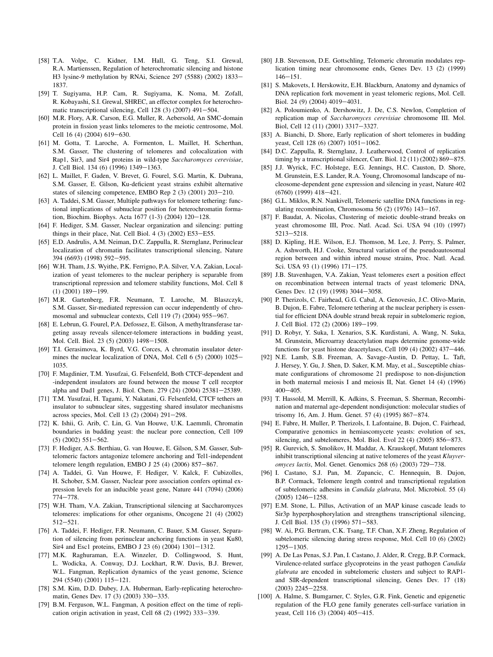- [58] T.A. Volpe, C. Kidner, I.M. Hall, G. Teng, S.I. Grewal, R.A. Martienssen, Regulation of heterochromatic silencing and histone H3 lysine-9 methylation by RNAi, Science 297 (5588) (2002) 1833-1837.
- [59] T. Sugiyama, H.P. Cam, R. Sugiyama, K. Noma, M. Zofall, R. Kobayashi, S.I. Grewal, SHREC, an effector complex for heterochromatic transcriptional silencing, Cell  $128$  (3) (2007) 491-504.
- [60] M.R. Flory, A.R. Carson, E.G. Muller, R. Aebersold, An SMC-domain protein in fission yeast links telomeres to the meiotic centrosome, Mol. Cell 16 (4) (2004) 619-630.
- [61] M. Gotta, T. Laroche, A. Formenton, L. Maillet, H. Scherthan, S.M. Gasser, The clustering of telomeres and colocalization with Rap1, Sir3, and Sir4 proteins in wild-type Saccharomyces cerevisiae, J. Cell Biol. 134 (6) (1996) 1349-1363.
- [62] L. Maillet, F. Gaden, V. Brevet, G. Fourel, S.G. Martin, K. Dubrana, S.M. Gasser, E. Gilson, Ku-deficient yeast strains exhibit alternative states of silencing competence, EMBO Rep  $2(3)(2001)$   $203-210$ .
- [63] A. Taddei, S.M. Gasser, Multiple pathways for telomere tethering: functional implications of subnuclear position for heterochromatin formation, Biochim. Biophys. Acta 1677 (1-3) (2004)  $120-128$ .
- [64] F. Hediger, S.M. Gasser, Nuclear organization and silencing: putting things in their place, Nat. Cell Biol. 4  $(3)$   $(2002)$  E53-E55.
- [65] E.D. Andrulis, A.M. Neiman, D.C. Zappulla, R. Sternglanz, Perinuclear localization of chromatin facilitates transcriptional silencing, Nature 394 (6693) (1998) 592-595.
- [66] W.H. Tham, J.S. Wyithe, P.K. Ferrigno, P.A. Silver, V.A. Zakian, Localization of yeast telomeres to the nuclear periphery is separable from transcriptional repression and telomere stability functions, Mol. Cell 8  $(1)$   $(2001)$   $189-199$ .
- [67] M.R. Gartenberg, F.R. Neumann, T. Laroche, M. Blaszczyk, S.M. Gasser, Sir-mediated repression can occur independently of chromosomal and subnuclear contexts, Cell  $119(7)$  (2004) 955-967.
- [68] E. Lebrun, G. Fourel, P.A. Defossez, E. Gilson, A methyltransferase targeting assay reveals silencer-telomere interactions in budding yeast, Mol. Cell. Biol. 23 (5) (2003) 1498-1508.
- [69] T.I. Gerasimova, K. Byrd, V.G. Corces, A chromatin insulator determines the nuclear localization of DNA, Mol. Cell  $6(5)(2000)$  1025– 1035.
- [70] F. Magdinier, T.M. Yusufzai, G. Felsenfeld, Both CTCF-dependent and -independent insulators are found between the mouse T cell receptor alpha and Dad1 genes, J. Biol. Chem. 279 (24) (2004) 25381-25389.
- [71] T.M. Yusufzai, H. Tagami, Y. Nakatani, G. Felsenfeld, CTCF tethers an insulator to subnuclear sites, suggesting shared insulator mechanisms across species, Mol. Cell 13 (2) (2004) 291-298.
- [72] K. Ishii, G. Arib, C. Lin, G. Van Houwe, U.K. Laemmli, Chromatin boundaries in budding yeast: the nuclear pore connection, Cell 109  $(5)$   $(2002)$   $551-562$ .
- [73] F. Hediger, A.S. Berthiau, G. van Houwe, E. Gilson, S.M. Gasser, Subtelomeric factors antagonize telomere anchoring and Tel1-independent telomere length regulation, EMBO J 25  $(4)$   $(2006)$  857-867.
- [74] A. Taddei, G. Van Houwe, F. Hediger, V. Kalck, F. Cubizolles, H. Schober, S.M. Gasser, Nuclear pore association confers optimal expression levels for an inducible yeast gene, Nature 441 (7094) (2006) 774-778.
- [75] W.H. Tham, V.A. Zakian, Transcriptional silencing at Saccharomyces telomeres: implications for other organisms, Oncogene 21 (4) (2002)  $512 - 521$ .
- [76] A. Taddei, F. Hediger, F.R. Neumann, C. Bauer, S.M. Gasser, Separation of silencing from perinuclear anchoring functions in yeast Ku80, Sir4 and Esc1 proteins, EMBO J 23  $(6)$   $(2004)$  1301-1312.
- [77] M.K. Raghuraman, E.A. Winzeler, D. Collingwood, S. Hunt, L. Wodicka, A. Conway, D.J. Lockhart, R.W. Davis, B.J. Brewer, W.L. Fangman, Replication dynamics of the yeast genome, Science 294 (5540) (2001) 115-121.
- [78] S.M. Kim, D.D. Dubey, J.A. Huberman, Early-replicating heterochromatin, Genes Dev. 17 (3) (2003) 330-335.
- [79] B.M. Ferguson, W.L. Fangman, A position effect on the time of replication origin activation in yeast, Cell  $68$  (2) (1992) 333-339.
- [80] J.B. Stevenson, D.E. Gottschling, Telomeric chromatin modulates replication timing near chromosome ends, Genes Dev. 13 (2) (1999)  $146 - 151$ .
- [81] S. Makovets, I. Herskowitz, E.H. Blackburn, Anatomy and dynamics of DNA replication fork movement in yeast telomeric regions, Mol. Cell. Biol. 24 (9) (2004) 4019-4031.
- [82] A. Poloumienko, A. Dershowitz, J. De, C.S. Newlon, Completion of replication map of Saccharomyces cerevisiae chromosome III. Mol. Biol, Cell 12 (11) (2001) 3317-3327.
- [83] A. Bianchi, D. Shore, Early replication of short telomeres in budding yeast, Cell 128 (6) (2007) 1051-1062.
- [84] D.C. Zappulla, R. Sternglanz, J. Leatherwood, Control of replication timing by a transcriptional silencer, Curr. Biol.  $12(11)(2002)869-875$ .
- [85] J.J. Wyrick, F.C. Holstege, E.G. Jennings, H.C. Causton, D. Shore, M. Grunstein, E.S. Lander, R.A. Young, Chromosomal landscape of nucleosome-dependent gene expression and silencing in yeast, Nature 402  $(6760)$   $(1999)$   $418-421$ .
- [86] G.L. Miklos, R.N. Nankivell, Telomeric satellite DNA functions in regulating recombination, Chromosoma 56 (2) (1976)  $143-167$ .
- [87] F. Baudat, A. Nicolas, Clustering of meiotic double-strand breaks on yeast chromosome III, Proc. Natl. Acad. Sci. USA 94 (10) (1997) 5213-5218.
- [88] D. Kipling, H.E. Wilson, E.J. Thomson, M. Lee, J. Perry, S. Palmer, A. Ashworth, H.J. Cooke, Structural variation of the pseudoautosomal region between and within inbred mouse strains, Proc. Natl. Acad. Sci. USA 93 (1) (1996) 171-175.
- [89] J.B. Stavenhagen, V.A. Zakian, Yeast telomeres exert a position effect on recombination between internal tracts of yeast telomeric DNA, Genes Dev. 12 (19) (1998) 3044-3058.
- [90] P. Therizols, C. Fairhead, G.G. Cabal, A. Genovesio, J.C. Olivo-Marin, B. Dujon, E. Fabre, Telomere tethering at the nuclear periphery is essential for efficient DNA double strand break repair in subtelomeric region, J. Cell Biol. 172 (2) (2006) 189-199.
- [91] D. Robyr, Y. Suka, I. Xenarios, S.K. Kurdistani, A. Wang, N. Suka, M. Grunstein, Microarray deacetylation maps determine genome-wide functions for yeast histone deacetylases, Cell  $109$  (4) (2002) 437-446.
- [92] N.E. Lamb, S.B. Freeman, A. Savage-Austin, D. Pettay, L. Taft, J. Hersey, Y. Gu, J. Shen, D. Saker, K.M. May, et al., Susceptible chiasmate configurations of chromosome 21 predispose to non-disjunction in both maternal meiosis I and meiosis II, Nat. Genet 14 (4) (1996)  $400 - 405$ .
- [93] T. Hassold, M. Merrill, K. Adkins, S. Freeman, S. Sherman, Recombination and maternal age-dependent nondisjunction: molecular studies of trisomy 16, Am. J. Hum. Genet. 57 (4) (1995) 867-874.
- [94] E. Fabre, H. Muller, P. Therizols, I. Lafontaine, B. Dujon, C. Fairhead, Comparative genomics in hemiascomycete yeasts: evolution of sex, silencing, and subtelomeres, Mol. Biol. Evol  $22(4)$   $(2005)$   $856-873$ .
- [95] R. Gurevich, S. Smolikov, H. Maddar, A. Krauskopf, Mutant telomeres inhibit transcriptional silencing at native telomeres of the yeast Kluyver $omvecs$  *lactis*, Mol. Genet. Genomics 268 (6) (2003) 729-738.
- [96] I. Castano, S.J. Pan, M. Zupancic, C. Hennequin, B. Dujon, B.P. Cormack, Telomere length control and transcriptional regulation of subtelomeric adhesins in Candida glabrata, Mol. Microbiol. 55 (4)  $(2005)$  1246-1258.
- [97] E.M. Stone, L. Pillus, Activation of an MAP kinase cascade leads to Sir3p hyperphosphorylation and strengthens transcriptional silencing, J. Cell Biol. 135 (3) (1996) 571-583.
- [98] W. Ai, P.G. Bertram, C.K. Tsang, T.F. Chan, X.F. Zheng, Regulation of subtelomeric silencing during stress response, Mol. Cell 10 (6) (2002)  $1295 - 1305$ .
- [99] A. De Las Penas, S.J. Pan, I. Castano, J. Alder, R. Cregg, B.P. Cormack, Virulence-related surface glycoproteins in the yeast pathogen Candida glabrata are encoded in subtelomeric clusters and subject to RAP1 and SIR-dependent transcriptional silencing, Genes Dev. 17 (18)  $(2003)$  2245-2258.
- [100] A. Halme, S. Bumgarner, C. Styles, G.R. Fink, Genetic and epigenetic regulation of the FLO gene family generates cell-surface variation in yeast, Cell 116 (3) (2004) 405-415.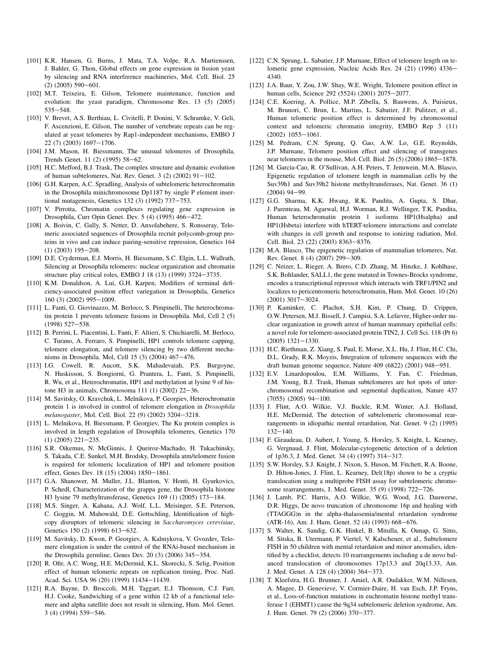- [101] K.R. Hansen, G. Burns, J. Mata, T.A. Volpe, R.A. Martienssen, J. Bahler, G. Thon, Global effects on gene expression in fission yeast by silencing and RNA interference machineries, Mol. Cell. Biol. 25  $(2)$   $(2005)$  590 $-601$ .
- [102] M.T. Teixeira, E. Gilson, Telomere maintenance, function and evolution: the yeast paradigm, Chromosome Res. 13 (5) (2005)  $535 - 548$
- [103] V. Brevet, A.S. Berthiau, L. Civitelli, P. Donini, V. Schramke, V. Geli, F. Ascenzioni, E. Gilson, The number of vertebrate repeats can be regulated at yeast telomeres by Rap1-independent mechanisms, EMBO J  $22(7)$  (2003)  $1697 - 1706$ .
- [104] J.M. Mason, H. Biessmann, The unusual telomeres of Drosophila, Trends Genet. 11 (2) (1995) 58-62.
- [105] H.C. Mefford, B.J. Trask, The complex structure and dynamic evolution of human subtelomeres, Nat. Rev. Genet.  $3(2)(2002)91-102$ .
- [106] G.H. Karpen, A.C. Spradling, Analysis of subtelomeric heterochromatin in the Drosophila minichromosome Dp1187 by single P element insertional mutagenesis, Genetics 132 (3) (1992)  $737-753$ .
- [107] V. Pirrotta, Chromatin complexes regulating gene expression in Drosophila, Curr Opin Genet. Dev. 5 (4) (1995) 466-472.
- [108] A. Boivin, C. Gally, S. Netter, D. Anxolabehere, S. Ronsseray, Telomeric associated sequences of Drosophila recruit polycomb-group proteins in vivo and can induce pairing-sensitive repression, Genetics 164  $(1)$   $(2003)$   $195-208$ .
- [109] D.E. Cryderman, E.J. Morris, H. Biessmann, S.C. Elgin, L.L. Wallrath, Silencing at Drosophila telomeres: nuclear organization and chromatin structure play critical roles, EMBO J 18 (13) (1999) 3724-3735.
- [110] K.M. Donaldson, A. Lui, G.H. Karpen, Modifiers of terminal deficiency-associated position effect variegation in Drosophila, Genetics  $160$  (3) (2002) 995-1009.
- [111] L. Fanti, G. Giovinazzo, M. Berloco, S. Pimpinelli, The heterochromatin protein 1 prevents telomere fusions in Drosophila. Mol, Cell 2 (5)  $(1998)$  527-538.
- [112] B. Perrini, L. Piacentini, L. Fanti, F. Altieri, S. Chichiarelli, M. Berloco, C. Turano, A. Ferraro, S. Pimpinelli, HP1 controls telomere capping, telomere elongation, and telomere silencing by two different mechanisms in Drosophila. Mol, Cell 15 (3) (2004) 467-476.
- [113] I.G. Cowell, R. Aucott, S.K. Mahadevaiah, P.S. Burgoyne, N. Huskisson, S. Bongiorni, G. Prantera, L. Fanti, S. Pimpinelli, R. Wu, et al., Heterochromatin, HP1 and methylation at lysine 9 of histone H3 in animals, Chromosoma  $111 (1) (2002) 22-36$ .
- [114] M. Savitsky, O. Kravchuk, L. Melnikova, P. Georgiev, Heterochromatin protein 1 is involved in control of telomere elongation in Drosophila melanogaster, Mol. Cell. Biol. 22 (9) (2002) 3204-3218.
- [115] L. Melnikova, H. Biessmann, P. Georgiev, The Ku protein complex is involved in length regulation of Drosophila telomeres, Genetics 170  $(1)$   $(2005)$   $221 - 235$ .
- [116] S.R. Oikemus, N. McGinnis, J. Queiroz-Machado, H. Tukachinsky, S. Takada, C.E. Sunkel, M.H. Brodsky, Drosophila atm/telomere fusion is required for telomeric localization of HP1 and telomere position effect, Genes Dev. 18 (15) (2004) 1850-1861.
- [117] G.A. Shanower, M. Muller, J.L. Blanton, V. Honti, H. Gyurkovics, P. Schedl, Characterization of the grappa gene, the Drosophila histone H3 lysine 79 methyltransferase, Genetics 169 (1) (2005) 173-184.
- [118] M.S. Singer, A. Kahana, A.J. Wolf, L.L. Meisinger, S.E. Peterson, C. Goggin, M. Mahowald, D.E. Gottschling, Identification of highcopy disruptors of telomeric silencing in Saccharomyces cerevisiae, Genetics 150 (2) (1998) 613-632.
- [119] M. Savitsky, D. Kwon, P. Georgiev, A. Kalmykova, V. Gvozdev, Telomere elongation is under the control of the RNAi-based mechanism in the Drosophila germline, Genes Dev. 20  $(3)$   $(2006)$   $345-354$ .
- [120] R. Ofir, A.C. Wong, H.E. McDermid, K.L. Skorecki, S. Selig, Position effect of human telomeric repeats on replication timing, Proc. Natl. Acad. Sci. USA 96 (20) (1999) 11434-11439.
- [121] R.A. Bayne, D. Broccoli, M.H. Taggart, E.J. Thomson, C.J. Farr, H.J. Cooke, Sandwiching of a gene within 12 kb of a functional telomere and alpha satellite does not result in silencing, Hum. Mol. Genet. 3 (4) (1994) 539-546.
- [122] C.N. Sprung, L. Sabatier, J.P. Murnane, Effect of telomere length on telomeric gene expression, Nucleic Acids Res. 24 (21) (1996) 4336-4340.
- [123] J.A. Baur, Y. Zou, J.W. Shay, W.E. Wright, Telomere position effect in human cells, Science 292 (5524) (2001) 2075-2077.
- [124] C.E. Koering, A. Pollice, M.P. Zibella, S. Bauwens, A. Puisieux, M. Brunori, C. Brun, L. Martins, L. Sabatier, J.F. Pulitzer, et al., Human telomeric position effect is determined by chromosomal context and telomeric chromatin integrity, EMBO Rep 3 (11)  $(2002)$  1055-1061.
- [125] M. Pedram, C.N. Sprung, Q. Gao, A.W. Lo, G.E. Reynolds, J.P. Murnane, Telomere position effect and silencing of transgenes near telomeres in the mouse, Mol. Cell. Biol.  $26(5)(2006)$  1865 $-1878$ .
- [126] M. Garcia-Cao, R. O'Sullivan, A.H. Peters, T. Jenuwein, M.A. Blasco, Epigenetic regulation of telomere length in mammalian cells by the Suv39h1 and Suv39h2 histone methyltransferases, Nat. Genet. 36 (1)  $(2004)$  94 $-99$ .
- [127] G.G. Sharma, K.K. Hwang, R.K. Pandita, A. Gupta, S. Dhar, J. Parenteau, M. Agarwal, H.J. Worman, R.J. Wellinger, T.K. Pandita, Human heterochromatin protein 1 isoforms HP1(Hsalpha) and HP1(Hsbeta) interfere with hTERT-telomere interactions and correlate with changes in cell growth and response to ionizing radiation, Mol. Cell. Biol. 23 (22) (2003) 8363-8376.
- [128] M.A. Blasco, The epigenetic regulation of mammalian telomeres, Nat. Rev. Genet. 8 (4) (2007) 299-309.
- [129] C. Netzer, L. Rieger, A. Brero, C.D. Zhang, M. Hinzke, J. Kohlhase, S.K. Bohlander, SALL1, the gene mutated in Townes-Brocks syndrome, encodes a transcriptional repressor which interacts with TRF1/PIN2 and localizes to pericentromeric heterochromatin, Hum. Mol. Genet. 10 (26)  $(2001)$  3017-3024.
- [130] P. Kaminker, C. Plachot, S.H. Kim, P. Chung, D. Crippen, O.W. Petersen, M.J. Bissell, J. Campisi, S.A. Lelievre, Higher-order nuclear organization in growth arrest of human mammary epithelial cells: a novel role for telomere-associated protein TIN2, J. Cell Sci. 118 (Pt 6)  $(2005)$  1321-1330.
- [131] H.C. Riethman, Z. Xiang, S. Paul, E. Morse, X.L. Hu, J. Flint, H.C. Chi, D.L. Grady, R.K. Moyzis, Integration of telomere sequences with the draft human genome sequence, Nature  $409$  (6822) (2001) 948-951.
- [132] E.V. Linardopoulou, E.M. Williams, Y. Fan, C. Friedman, J.M. Young, B.J. Trask, Human subtelomeres are hot spots of interchromosomal recombination and segmental duplication, Nature 437  $(7055)$   $(2005)$   $94-100$ .
- [133] J. Flint, A.O. Wilkie, V.J. Buckle, R.M. Winter, A.J. Holland, H.E. McDermid, The detection of subtelomeric chromosomal rearrangements in idiopathic mental retardation, Nat. Genet. 9 (2) (1995)  $132 - 140$
- [134] F. Giraudeau, D. Aubert, I. Young, S. Horsley, S. Knight, L. Kearney, G. Vergnaud, J. Flint, Molecular-cytogenetic detection of a deletion of 1p36.3, J. Med. Genet. 34 (4) (1997) 314-317.
- [135] S.W. Horsley, S.J. Knight, J. Nixon, S. Huson, M. Fitchett, R.A. Boone, D. Hilton-Jones, J. Flint, L. Kearney, Del(18p) shown to be a cryptic translocation using a multiprobe FISH assay for subtelomeric chromosome rearrangements, J. Med. Genet. 35 (9) (1998) 722-726.
- [136] J. Lamb, P.C. Harris, A.O. Wilkie, W.G. Wood, J.G. Dauwerse, D.R. Higgs, De novo truncation of chromosome 16p and healing with (TTAGGG)n in the alpha-thalassemia/mental retardation syndrome (ATR-16), Am. J. Hum. Genet. 52 (4) (1993) 668-676.
- [137] S. Walter, K. Sandig, G.K. Hinkel, B. Mitulla, K. Ounap, G. Sims, M. Sitska, B. Utermann, P. Viertel, V. Kalscheuer, et al., Subtelomere FISH in 50 children with mental retardation and minor anomalies, identified by a checklist, detects 10 rearrangements including a de novo balanced translocation of chromosomes 17p13.3 and 20q13.33, Am. J. Med. Genet. A 128 (4) (2004) 364-373.
- [138] T. Kleefstra, H.G. Brunner, J. Amiel, A.R. Oudakker, W.M. Nillesen, A. Magee, D. Genevieve, V. Cormier-Daire, H. van Esch, J.P. Fryns, et al., Loss-of-function mutations in euchromatin histone methyl transferase 1 (EHMT1) cause the 9q34 subtelomeric deletion syndrome, Am. J. Hum. Genet. 79 (2) (2006) 370-377.